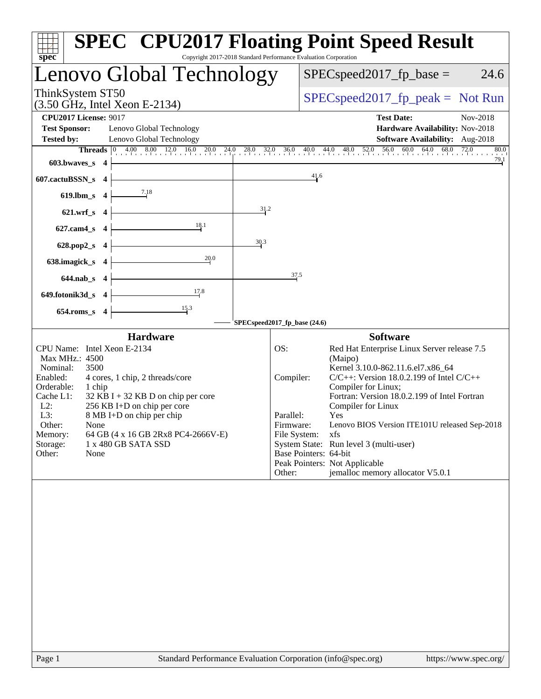| <b>SPEC<sup>®</sup> CPU2017 Floating Point Speed Result</b><br>Copyright 2017-2018 Standard Performance Evaluation Corporation<br>$spec^*$                                                                                                                                                                                                                                                                                 |                                                                                                                                                                                                                                                                                                                                                                                                                                                                                                         |
|----------------------------------------------------------------------------------------------------------------------------------------------------------------------------------------------------------------------------------------------------------------------------------------------------------------------------------------------------------------------------------------------------------------------------|---------------------------------------------------------------------------------------------------------------------------------------------------------------------------------------------------------------------------------------------------------------------------------------------------------------------------------------------------------------------------------------------------------------------------------------------------------------------------------------------------------|
| Lenovo Global Technology                                                                                                                                                                                                                                                                                                                                                                                                   | $SPEC speed2017fp base =$<br>24.6                                                                                                                                                                                                                                                                                                                                                                                                                                                                       |
| ThinkSystem ST50<br>$(3.50 \text{ GHz}, \text{Intel Xeon E-2134})$                                                                                                                                                                                                                                                                                                                                                         | $SPEC speed2017fr peak = Not Run$                                                                                                                                                                                                                                                                                                                                                                                                                                                                       |
| <b>CPU2017 License: 9017</b>                                                                                                                                                                                                                                                                                                                                                                                               | <b>Test Date:</b><br>Nov-2018                                                                                                                                                                                                                                                                                                                                                                                                                                                                           |
| <b>Test Sponsor:</b><br>Lenovo Global Technology                                                                                                                                                                                                                                                                                                                                                                           | Hardware Availability: Nov-2018                                                                                                                                                                                                                                                                                                                                                                                                                                                                         |
| Lenovo Global Technology<br><b>Tested by:</b>                                                                                                                                                                                                                                                                                                                                                                              | Software Availability: Aug-2018                                                                                                                                                                                                                                                                                                                                                                                                                                                                         |
| $603.bwaves$ 4                                                                                                                                                                                                                                                                                                                                                                                                             | <b>Threads</b> $\begin{bmatrix} 0 & 4.00 & 8.00 & 12.0 & 16.0 & 20.0 & 24.0 & 28.0 & 32.0 & 36.0 & 40.0 & 44.0 & 48.0 & 52.0 & 56.0 & 60.0 & 64.0 & 68.0 & 72.0 & 80.0 & 72.0 & 72.0 & 72.0 & 72.0 & 72.0 & 72.0 & 72.0 & 72.0 & 72.0 & 72.0 & 72.0 & 72.0 & 72.0 & 72.0 & 72.$<br>80.0<br>79.1                                                                                                                                                                                                         |
| 607.cactuBSSN_s 4                                                                                                                                                                                                                                                                                                                                                                                                          | 41.6                                                                                                                                                                                                                                                                                                                                                                                                                                                                                                    |
| $619$ .lbm_s 4                                                                                                                                                                                                                                                                                                                                                                                                             |                                                                                                                                                                                                                                                                                                                                                                                                                                                                                                         |
| 31.2<br>$621.wrf_s$ 4                                                                                                                                                                                                                                                                                                                                                                                                      |                                                                                                                                                                                                                                                                                                                                                                                                                                                                                                         |
| 18.1<br>$627$ .cam4_s 4                                                                                                                                                                                                                                                                                                                                                                                                    |                                                                                                                                                                                                                                                                                                                                                                                                                                                                                                         |
| 30.3<br>628.pop2_s $4$                                                                                                                                                                                                                                                                                                                                                                                                     |                                                                                                                                                                                                                                                                                                                                                                                                                                                                                                         |
| 20.0<br>638.imagick_s $4$                                                                                                                                                                                                                                                                                                                                                                                                  |                                                                                                                                                                                                                                                                                                                                                                                                                                                                                                         |
| $644.nab_s$ 4                                                                                                                                                                                                                                                                                                                                                                                                              | 37.5                                                                                                                                                                                                                                                                                                                                                                                                                                                                                                    |
| 17.8<br>$649.$ fotonik $3d_s$ 4                                                                                                                                                                                                                                                                                                                                                                                            |                                                                                                                                                                                                                                                                                                                                                                                                                                                                                                         |
| $\frac{15.3}{ }$<br>$654$ .roms_s 4<br>SPECspeed2017_fp_base (24.6)                                                                                                                                                                                                                                                                                                                                                        |                                                                                                                                                                                                                                                                                                                                                                                                                                                                                                         |
| <b>Hardware</b>                                                                                                                                                                                                                                                                                                                                                                                                            | <b>Software</b>                                                                                                                                                                                                                                                                                                                                                                                                                                                                                         |
| OS:<br>CPU Name: Intel Xeon E-2134<br>Max MHz.: 4500<br>Nominal:<br>3500<br>Enabled:<br>4 cores, 1 chip, 2 threads/core<br>Orderable:<br>1 chip<br>Cache L1:<br>$32$ KB I + 32 KB D on chip per core<br>$L2$ :<br>256 KB I+D on chip per core<br>L3:<br>8 MB I+D on chip per chip<br>Other:<br><b>None</b><br>64 GB (4 x 16 GB 2Rx8 PC4-2666V-E)<br>Memory:<br>Storage:<br>1 x 480 GB SATA SSD<br>Other:<br>None<br>Other: | Red Hat Enterprise Linux Server release 7.5<br>(Maipo)<br>Kernel 3.10.0-862.11.6.el7.x86_64<br>$C/C++$ : Version 18.0.2.199 of Intel $C/C++$<br>Compiler:<br>Compiler for Linux;<br>Fortran: Version 18.0.2.199 of Intel Fortran<br>Compiler for Linux<br>Yes<br>Parallel:<br>Lenovo BIOS Version ITE101U released Sep-2018<br>Firmware:<br>File System:<br>xfs<br>System State: Run level 3 (multi-user)<br>Base Pointers: 64-bit<br>Peak Pointers: Not Applicable<br>jemalloc memory allocator V5.0.1 |
| Standard Performance Evaluation Corporation (info@spec.org)<br>Page 1                                                                                                                                                                                                                                                                                                                                                      | https://www.spec.org/                                                                                                                                                                                                                                                                                                                                                                                                                                                                                   |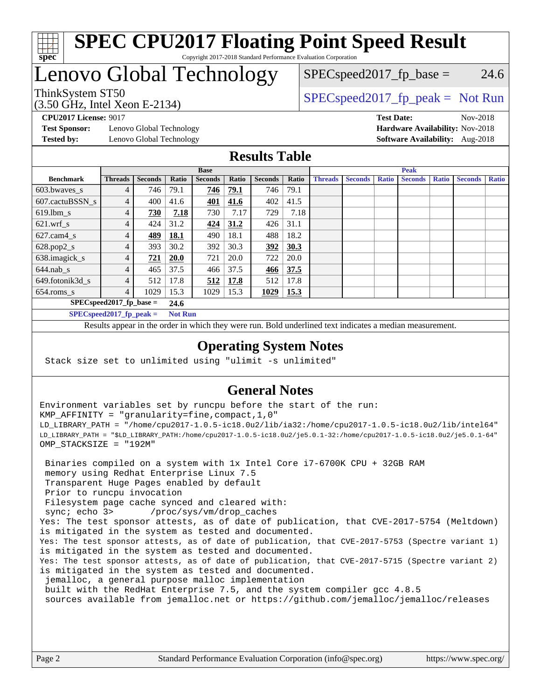

#### **[SPEC CPU2017 Floating Point Speed Result](http://www.spec.org/auto/cpu2017/Docs/result-fields.html#SPECCPU2017FloatingPointSpeedResult)** Copyright 2017-2018 Standard Performance Evaluation Corporation

# Lenovo Global Technology

(3.50 GHz, Intel Xeon E-2134)

ThinkSystem ST50  $SPEC speed2017$  [p\_peak = Not Run  $SPEC speed2017<sub>fp</sub> base = 24.6$ 

**[Test Sponsor:](http://www.spec.org/auto/cpu2017/Docs/result-fields.html#TestSponsor)** Lenovo Global Technology **[Hardware Availability:](http://www.spec.org/auto/cpu2017/Docs/result-fields.html#HardwareAvailability)** Nov-2018 **[Tested by:](http://www.spec.org/auto/cpu2017/Docs/result-fields.html#Testedby)** Lenovo Global Technology **[Software Availability:](http://www.spec.org/auto/cpu2017/Docs/result-fields.html#SoftwareAvailability)** Aug-2018

**[CPU2017 License:](http://www.spec.org/auto/cpu2017/Docs/result-fields.html#CPU2017License)** 9017 **[Test Date:](http://www.spec.org/auto/cpu2017/Docs/result-fields.html#TestDate)** Nov-2018

### **[Results Table](http://www.spec.org/auto/cpu2017/Docs/result-fields.html#ResultsTable)**

|                            | <b>Base</b>    |                |             |                |       | <b>Peak</b>    |       |                |                |              |                |              |                |              |
|----------------------------|----------------|----------------|-------------|----------------|-------|----------------|-------|----------------|----------------|--------------|----------------|--------------|----------------|--------------|
| <b>Benchmark</b>           | <b>Threads</b> | <b>Seconds</b> | Ratio       | <b>Seconds</b> | Ratio | <b>Seconds</b> | Ratio | <b>Threads</b> | <b>Seconds</b> | <b>Ratio</b> | <b>Seconds</b> | <b>Ratio</b> | <b>Seconds</b> | <b>Ratio</b> |
| 603.bwayes s               | 4              | 746            | 79.1        | 746            | 79.1  | 746            | 79.1  |                |                |              |                |              |                |              |
| 607.cactuBSSN s            | 4              | 400            | 41.6        | 401            | 41.6  | 402            | 41.5  |                |                |              |                |              |                |              |
| $619.$ lbm_s               | 4              | 730            | 7.18        | 730            | 7.17  | 729            | 7.18  |                |                |              |                |              |                |              |
| $621.wrf$ s                | 4              | 424            | 31.2        | 424            | 31.2  | 426            | 31.1  |                |                |              |                |              |                |              |
| $627.cam4_s$               | $\overline{4}$ | 489            | <b>18.1</b> | 490            | 18.1  | 488            | 18.2  |                |                |              |                |              |                |              |
| $628.pop2_s$               | 4              | 393            | 30.2        | 392            | 30.3  | 392            | 30.3  |                |                |              |                |              |                |              |
| 638.imagick_s              | 4              | 721            | <b>20.0</b> | 721            | 20.0  | 722            | 20.0  |                |                |              |                |              |                |              |
| $644$ .nab s               | 4              | 465            | 37.5        | 466            | 37.5  | 466            | 37.5  |                |                |              |                |              |                |              |
| 649.fotonik3d s            | 4              | 512            | 17.8        | 512            | 17.8  | 512            | 17.8  |                |                |              |                |              |                |              |
| $654$ .roms s              | 4              | 1029           | 15.3        | 1029           | 15.3  | 1029           | 15.3  |                |                |              |                |              |                |              |
| $SPEC speed2017$ fp base = | 24.6           |                |             |                |       |                |       |                |                |              |                |              |                |              |
| $SPECspeed2017_fp\_peak =$ | <b>Not Run</b> |                |             |                |       |                |       |                |                |              |                |              |                |              |

Results appear in the [order in which they were run.](http://www.spec.org/auto/cpu2017/Docs/result-fields.html#RunOrder) Bold underlined text [indicates a median measurement](http://www.spec.org/auto/cpu2017/Docs/result-fields.html#Median).

#### **[Operating System Notes](http://www.spec.org/auto/cpu2017/Docs/result-fields.html#OperatingSystemNotes)**

Stack size set to unlimited using "ulimit -s unlimited"

### **[General Notes](http://www.spec.org/auto/cpu2017/Docs/result-fields.html#GeneralNotes)**

Environment variables set by runcpu before the start of the run: KMP\_AFFINITY = "granularity=fine,compact,1,0" LD\_LIBRARY\_PATH = "/home/cpu2017-1.0.5-ic18.0u2/lib/ia32:/home/cpu2017-1.0.5-ic18.0u2/lib/intel64" LD\_LIBRARY\_PATH = "\$LD\_LIBRARY\_PATH:/home/cpu2017-1.0.5-ic18.0u2/je5.0.1-32:/home/cpu2017-1.0.5-ic18.0u2/je5.0.1-64" OMP\_STACKSIZE = "192M"

 Binaries compiled on a system with 1x Intel Core i7-6700K CPU + 32GB RAM memory using Redhat Enterprise Linux 7.5 Transparent Huge Pages enabled by default Prior to runcpu invocation Filesystem page cache synced and cleared with: sync; echo 3> /proc/sys/vm/drop\_caches Yes: The test sponsor attests, as of date of publication, that CVE-2017-5754 (Meltdown) is mitigated in the system as tested and documented. Yes: The test sponsor attests, as of date of publication, that CVE-2017-5753 (Spectre variant 1) is mitigated in the system as tested and documented. Yes: The test sponsor attests, as of date of publication, that CVE-2017-5715 (Spectre variant 2) is mitigated in the system as tested and documented. jemalloc, a general purpose malloc implementation built with the RedHat Enterprise 7.5, and the system compiler gcc 4.8.5 sources available from jemalloc.net or <https://github.com/jemalloc/jemalloc/releases>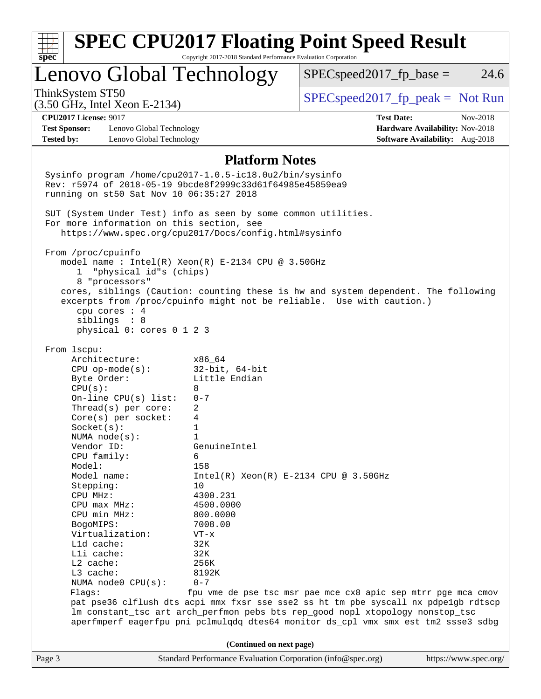| $spec^*$                     |                                           | Copyright 2017-2018 Standard Performance Evaluation Corporation                                                       | <b>SPEC CPU2017 Floating Point Speed Result</b>                                     |                                 |
|------------------------------|-------------------------------------------|-----------------------------------------------------------------------------------------------------------------------|-------------------------------------------------------------------------------------|---------------------------------|
| Lenovo Global Technology     |                                           |                                                                                                                       | $SPEC speed2017fr base =$                                                           | 24.6                            |
| ThinkSystem ST50             | $(3.50$ GHz, Intel Xeon E-2134)           |                                                                                                                       | $SPEC speed2017fr peak = Not Run$                                                   |                                 |
| <b>CPU2017 License: 9017</b> |                                           |                                                                                                                       | <b>Test Date:</b>                                                                   | Nov-2018                        |
| <b>Test Sponsor:</b>         | Lenovo Global Technology                  |                                                                                                                       |                                                                                     | Hardware Availability: Nov-2018 |
| <b>Tested by:</b>            | Lenovo Global Technology                  |                                                                                                                       |                                                                                     | Software Availability: Aug-2018 |
|                              |                                           | <b>Platform Notes</b>                                                                                                 |                                                                                     |                                 |
|                              |                                           |                                                                                                                       |                                                                                     |                                 |
|                              |                                           | Sysinfo program /home/cpu2017-1.0.5-ic18.0u2/bin/sysinfo<br>Rev: r5974 of 2018-05-19 9bcde8f2999c33d61f64985e45859ea9 |                                                                                     |                                 |
|                              | running on st50 Sat Nov 10 06:35:27 2018  |                                                                                                                       |                                                                                     |                                 |
|                              |                                           |                                                                                                                       |                                                                                     |                                 |
|                              |                                           | SUT (System Under Test) info as seen by some common utilities.                                                        |                                                                                     |                                 |
|                              | For more information on this section, see | https://www.spec.org/cpu2017/Docs/config.html#sysinfo                                                                 |                                                                                     |                                 |
|                              |                                           |                                                                                                                       |                                                                                     |                                 |
| From /proc/cpuinfo           |                                           |                                                                                                                       |                                                                                     |                                 |
|                              |                                           | model name : Intel(R) $Xeon(R)$ E-2134 CPU @ 3.50GHz                                                                  |                                                                                     |                                 |
| $\mathbf{1}$                 | "physical id"s (chips)                    |                                                                                                                       |                                                                                     |                                 |
|                              | 8 "processors"                            |                                                                                                                       | cores, siblings (Caution: counting these is hw and system dependent. The following  |                                 |
|                              |                                           |                                                                                                                       | excerpts from /proc/cpuinfo might not be reliable. Use with caution.)               |                                 |
|                              | cpu cores $: 4$                           |                                                                                                                       |                                                                                     |                                 |
|                              | siblings : 8                              |                                                                                                                       |                                                                                     |                                 |
|                              | physical 0: cores 0 1 2 3                 |                                                                                                                       |                                                                                     |                                 |
| From 1scpu:                  |                                           |                                                                                                                       |                                                                                     |                                 |
| Architecture:                |                                           | x86 64                                                                                                                |                                                                                     |                                 |
|                              | $CPU$ op-mode( $s$ ):                     | $32$ -bit, $64$ -bit                                                                                                  |                                                                                     |                                 |
| Byte Order:                  |                                           | Little Endian                                                                                                         |                                                                                     |                                 |
| CPU(s):                      |                                           | 8                                                                                                                     |                                                                                     |                                 |
|                              | On-line $CPU(s)$ list:                    | $0 - 7$                                                                                                               |                                                                                     |                                 |
|                              | Thread( $s$ ) per core:                   | 2                                                                                                                     |                                                                                     |                                 |
| Socket(s):                   | $Core(s)$ per socket:                     | 4<br>1                                                                                                                |                                                                                     |                                 |
| NUMA $node(s):$              |                                           | $\mathbf{1}$                                                                                                          |                                                                                     |                                 |
| Vendor ID:                   |                                           | GenuineIntel                                                                                                          |                                                                                     |                                 |
| CPU family:                  |                                           | 6                                                                                                                     |                                                                                     |                                 |
| Model:                       |                                           | 158                                                                                                                   |                                                                                     |                                 |
| Model name:                  |                                           |                                                                                                                       | $Intel(R)$ Xeon $(R)$ E-2134 CPU @ 3.50GHz                                          |                                 |
| Stepping:                    |                                           | 10                                                                                                                    |                                                                                     |                                 |
| CPU MHz:                     |                                           | 4300.231                                                                                                              |                                                                                     |                                 |
| CPU max MHz:<br>CPU min MHz: |                                           | 4500.0000<br>800.0000                                                                                                 |                                                                                     |                                 |
| BogoMIPS:                    |                                           | 7008.00                                                                                                               |                                                                                     |                                 |
|                              | Virtualization:                           | $VT - x$                                                                                                              |                                                                                     |                                 |
| L1d cache:                   |                                           | 32K                                                                                                                   |                                                                                     |                                 |
| Lli cache:                   |                                           | 32K                                                                                                                   |                                                                                     |                                 |
| $L2$ cache:                  |                                           | 256K                                                                                                                  |                                                                                     |                                 |
| L3 cache:                    |                                           | 8192K                                                                                                                 |                                                                                     |                                 |
| Flags:                       | NUMA node0 CPU(s):                        | $0 - 7$                                                                                                               | fpu vme de pse tsc msr pae mce cx8 apic sep mtrr pge mca cmov                       |                                 |
|                              |                                           |                                                                                                                       | pat pse36 clflush dts acpi mmx fxsr sse sse2 ss ht tm pbe syscall nx pdpelgb rdtscp |                                 |
|                              |                                           |                                                                                                                       | lm constant_tsc art arch_perfmon pebs bts rep_good nopl xtopology nonstop_tsc       |                                 |
|                              |                                           |                                                                                                                       | aperfmperf eagerfpu pni pclmulqdq dtes64 monitor ds_cpl vmx smx est tm2 ssse3 sdbg  |                                 |
|                              |                                           |                                                                                                                       |                                                                                     |                                 |
|                              |                                           | (Continued on next page)                                                                                              |                                                                                     |                                 |
| Page 3                       |                                           | Standard Performance Evaluation Corporation (info@spec.org)                                                           |                                                                                     | https://www.spec.org/           |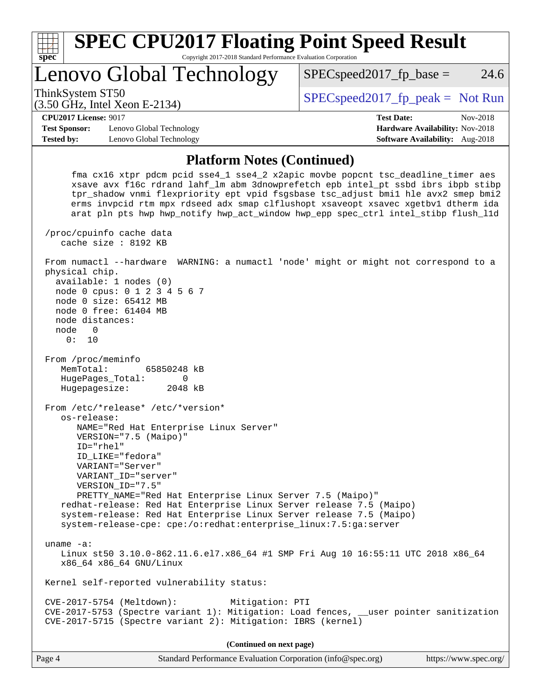| spec <sup>®</sup>    | <b>SPEC CPU2017 Floating Point Speed Result</b><br>Copyright 2017-2018 Standard Performance Evaluation Corporation |                                        |
|----------------------|--------------------------------------------------------------------------------------------------------------------|----------------------------------------|
|                      | Lenovo Global Technology                                                                                           | 24.6<br>$SPEC speed2017fp base =$      |
|                      | ThinkSystem ST50<br>$(3.50 \text{ GHz}, \text{Intel Xeon E-2134})$                                                 | $SPEC speed2017_fp\_peak = Not Run$    |
|                      | <b>CPU2017 License: 9017</b>                                                                                       | <b>Test Date:</b><br>Nov-2018          |
| <b>Test Sponsor:</b> | Lenovo Global Technology                                                                                           | <b>Hardware Availability: Nov-2018</b> |
| <b>Tested by:</b>    | Lenovo Global Technology                                                                                           | <b>Software Availability:</b> Aug-2018 |
|                      | <b>Platform Notes (Continued)</b>                                                                                  |                                        |

 fma cx16 xtpr pdcm pcid sse4\_1 sse4\_2 x2apic movbe popcnt tsc\_deadline\_timer aes xsave avx f16c rdrand lahf\_lm abm 3dnowprefetch epb intel\_pt ssbd ibrs ibpb stibp tpr\_shadow vnmi flexpriority ept vpid fsgsbase tsc\_adjust bmi1 hle avx2 smep bmi2 erms invpcid rtm mpx rdseed adx smap clflushopt xsaveopt xsavec xgetbv1 dtherm ida arat pln pts hwp hwp\_notify hwp\_act\_window hwp\_epp spec\_ctrl intel\_stibp flush\_l1d /proc/cpuinfo cache data cache size : 8192 KB From numactl --hardware WARNING: a numactl 'node' might or might not correspond to a physical chip. available: 1 nodes (0) node 0 cpus: 0 1 2 3 4 5 6 7 node 0 size: 65412 MB node 0 free: 61404 MB node distances: node 0 0: 10 From /proc/meminfo MemTotal: 65850248 kB HugePages\_Total: 0 Hugepagesize: 2048 kB From /etc/\*release\* /etc/\*version\* os-release: NAME="Red Hat Enterprise Linux Server" VERSION="7.5 (Maipo)" ID="rhel" ID\_LIKE="fedora" VARIANT="Server" VARIANT\_ID="server" VERSION\_ID="7.5" PRETTY\_NAME="Red Hat Enterprise Linux Server 7.5 (Maipo)" redhat-release: Red Hat Enterprise Linux Server release 7.5 (Maipo) system-release: Red Hat Enterprise Linux Server release 7.5 (Maipo) system-release-cpe: cpe:/o:redhat:enterprise\_linux:7.5:ga:server uname -a: Linux st50 3.10.0-862.11.6.el7.x86\_64 #1 SMP Fri Aug 10 16:55:11 UTC 2018 x86\_64 x86\_64 x86\_64 GNU/Linux Kernel self-reported vulnerability status: CVE-2017-5754 (Meltdown): Mitigation: PTI CVE-2017-5753 (Spectre variant 1): Mitigation: Load fences, \_\_user pointer sanitization CVE-2017-5715 (Spectre variant 2): Mitigation: IBRS (kernel) **(Continued on next page)**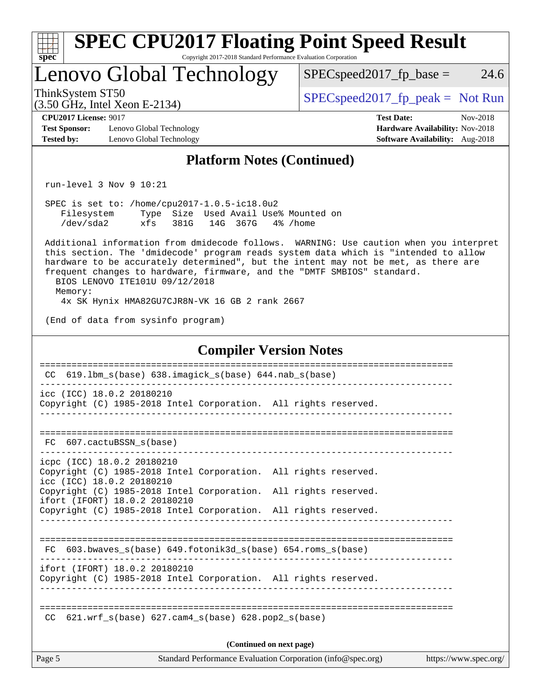| $spec*$                                                                   | <b>SPEC CPU2017 Floating Point Speed Result</b>                                                                                                                                                                                                                                                                                                                                                                                    | Copyright 2017-2018 Standard Performance Evaluation Corporation |          |                                                             |                                                                                         |                       |
|---------------------------------------------------------------------------|------------------------------------------------------------------------------------------------------------------------------------------------------------------------------------------------------------------------------------------------------------------------------------------------------------------------------------------------------------------------------------------------------------------------------------|-----------------------------------------------------------------|----------|-------------------------------------------------------------|-----------------------------------------------------------------------------------------|-----------------------|
|                                                                           | Lenovo Global Technology                                                                                                                                                                                                                                                                                                                                                                                                           |                                                                 |          |                                                             | $SPEC speed2017_fp\_base =$                                                             | 24.6                  |
| ThinkSystem ST50                                                          | (3.50 GHz, Intel Xeon E-2134)                                                                                                                                                                                                                                                                                                                                                                                                      |                                                                 |          |                                                             | $SPEC speed2017_fp\_peak = Not Run$                                                     |                       |
| <b>CPU2017 License: 9017</b><br><b>Test Sponsor:</b><br><b>Tested by:</b> | Lenovo Global Technology<br>Lenovo Global Technology                                                                                                                                                                                                                                                                                                                                                                               |                                                                 |          |                                                             | <b>Test Date:</b><br>Hardware Availability: Nov-2018<br>Software Availability: Aug-2018 | Nov-2018              |
|                                                                           |                                                                                                                                                                                                                                                                                                                                                                                                                                    | <b>Platform Notes (Continued)</b>                               |          |                                                             |                                                                                         |                       |
|                                                                           | $run-level$ 3 Nov 9 10:21                                                                                                                                                                                                                                                                                                                                                                                                          |                                                                 |          |                                                             |                                                                                         |                       |
| Filesystem<br>/dev/sda2                                                   | SPEC is set to: /home/cpu2017-1.0.5-ic18.0u2<br>xfs<br>381G                                                                                                                                                                                                                                                                                                                                                                        | Type Size Used Avail Use% Mounted on<br>14G 367G                | 4% /home |                                                             |                                                                                         |                       |
| Memory:                                                                   | Additional information from dmidecode follows. WARNING: Use caution when you interpret<br>this section. The 'dmidecode' program reads system data which is "intended to allow<br>hardware to be accurately determined", but the intent may not be met, as there are<br>frequent changes to hardware, firmware, and the "DMTF SMBIOS" standard.<br>BIOS LENOVO ITE101U 09/12/2018<br>4x SK Hynix HMA82GU7CJR8N-VK 16 GB 2 rank 2667 |                                                                 |          |                                                             |                                                                                         |                       |
|                                                                           | (End of data from sysinfo program)                                                                                                                                                                                                                                                                                                                                                                                                 |                                                                 |          |                                                             |                                                                                         |                       |
|                                                                           |                                                                                                                                                                                                                                                                                                                                                                                                                                    | <b>Compiler Version Notes</b>                                   |          |                                                             |                                                                                         |                       |
| CC.                                                                       | 619.1bm_s(base) 638.imagick_s(base) 644.nab_s(base)                                                                                                                                                                                                                                                                                                                                                                                |                                                                 |          |                                                             |                                                                                         |                       |
|                                                                           | icc (ICC) 18.0.2 20180210<br>Copyright (C) 1985-2018 Intel Corporation. All rights reserved.                                                                                                                                                                                                                                                                                                                                       |                                                                 |          |                                                             |                                                                                         |                       |
| FC.                                                                       | 607.cactuBSSN s(base)                                                                                                                                                                                                                                                                                                                                                                                                              |                                                                 |          |                                                             |                                                                                         |                       |
|                                                                           | icpc (ICC) 18.0.2 20180210<br>Copyright (C) 1985-2018 Intel Corporation. All rights reserved.<br>icc (ICC) 18.0.2 20180210                                                                                                                                                                                                                                                                                                         |                                                                 |          |                                                             |                                                                                         |                       |
|                                                                           | Copyright (C) 1985-2018 Intel Corporation. All rights reserved.<br>ifort (IFORT) 18.0.2 20180210<br>Copyright (C) 1985-2018 Intel Corporation. All rights reserved.                                                                                                                                                                                                                                                                |                                                                 |          |                                                             |                                                                                         |                       |
| FC.                                                                       | 603.bwaves_s(base) 649.fotonik3d_s(base) 654.roms_s(base)                                                                                                                                                                                                                                                                                                                                                                          |                                                                 |          |                                                             |                                                                                         |                       |
|                                                                           | ifort (IFORT) 18.0.2 20180210<br>Copyright (C) 1985-2018 Intel Corporation. All rights reserved.                                                                                                                                                                                                                                                                                                                                   |                                                                 |          |                                                             |                                                                                         |                       |
| CC.                                                                       | $621.wrf\_s(base)$ $627.cam4_s(base)$ $628.pop2_s(base)$                                                                                                                                                                                                                                                                                                                                                                           |                                                                 |          |                                                             |                                                                                         |                       |
|                                                                           |                                                                                                                                                                                                                                                                                                                                                                                                                                    | (Continued on next page)                                        |          |                                                             |                                                                                         |                       |
| Page 5                                                                    |                                                                                                                                                                                                                                                                                                                                                                                                                                    |                                                                 |          | Standard Performance Evaluation Corporation (info@spec.org) |                                                                                         | https://www.spec.org/ |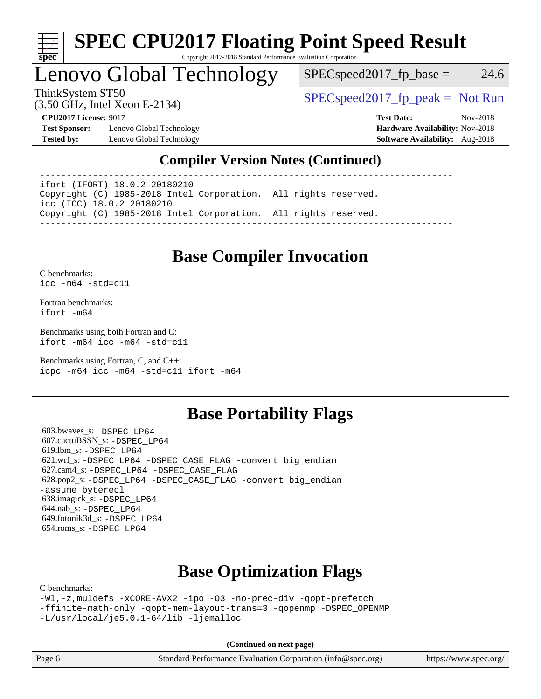

#### **[SPEC CPU2017 Floating Point Speed Result](http://www.spec.org/auto/cpu2017/Docs/result-fields.html#SPECCPU2017FloatingPointSpeedResult)** Copyright 2017-2018 Standard Performance Evaluation Corporation

# Lenovo Global Technology

 $SPEC speed2017_fp\_base = 24.6$ 

(3.50 GHz, Intel Xeon E-2134)

ThinkSystem ST50  $SPEC speed2017$  [p\_peak = Not Run

**[Test Sponsor:](http://www.spec.org/auto/cpu2017/Docs/result-fields.html#TestSponsor)** Lenovo Global Technology **[Hardware Availability:](http://www.spec.org/auto/cpu2017/Docs/result-fields.html#HardwareAvailability)** Nov-2018 **[Tested by:](http://www.spec.org/auto/cpu2017/Docs/result-fields.html#Testedby)** Lenovo Global Technology **[Software Availability:](http://www.spec.org/auto/cpu2017/Docs/result-fields.html#SoftwareAvailability)** Aug-2018

**[CPU2017 License:](http://www.spec.org/auto/cpu2017/Docs/result-fields.html#CPU2017License)** 9017 **[Test Date:](http://www.spec.org/auto/cpu2017/Docs/result-fields.html#TestDate)** Nov-2018

## **[Compiler Version Notes \(Continued\)](http://www.spec.org/auto/cpu2017/Docs/result-fields.html#CompilerVersionNotes)**

----------------------------------------------------------------------------- ifort (IFORT) 18.0.2 20180210

Copyright (C) 1985-2018 Intel Corporation. All rights reserved. icc (ICC) 18.0.2 20180210 Copyright (C) 1985-2018 Intel Corporation. All rights reserved. ------------------------------------------------------------------------------

# **[Base Compiler Invocation](http://www.spec.org/auto/cpu2017/Docs/result-fields.html#BaseCompilerInvocation)**

[C benchmarks](http://www.spec.org/auto/cpu2017/Docs/result-fields.html#Cbenchmarks): [icc -m64 -std=c11](http://www.spec.org/cpu2017/results/res2018q4/cpu2017-20181113-09695.flags.html#user_CCbase_intel_icc_64bit_c11_33ee0cdaae7deeeab2a9725423ba97205ce30f63b9926c2519791662299b76a0318f32ddfffdc46587804de3178b4f9328c46fa7c2b0cd779d7a61945c91cd35)

[Fortran benchmarks](http://www.spec.org/auto/cpu2017/Docs/result-fields.html#Fortranbenchmarks): [ifort -m64](http://www.spec.org/cpu2017/results/res2018q4/cpu2017-20181113-09695.flags.html#user_FCbase_intel_ifort_64bit_24f2bb282fbaeffd6157abe4f878425411749daecae9a33200eee2bee2fe76f3b89351d69a8130dd5949958ce389cf37ff59a95e7a40d588e8d3a57e0c3fd751)

[Benchmarks using both Fortran and C](http://www.spec.org/auto/cpu2017/Docs/result-fields.html#BenchmarksusingbothFortranandC): [ifort -m64](http://www.spec.org/cpu2017/results/res2018q4/cpu2017-20181113-09695.flags.html#user_CC_FCbase_intel_ifort_64bit_24f2bb282fbaeffd6157abe4f878425411749daecae9a33200eee2bee2fe76f3b89351d69a8130dd5949958ce389cf37ff59a95e7a40d588e8d3a57e0c3fd751) [icc -m64 -std=c11](http://www.spec.org/cpu2017/results/res2018q4/cpu2017-20181113-09695.flags.html#user_CC_FCbase_intel_icc_64bit_c11_33ee0cdaae7deeeab2a9725423ba97205ce30f63b9926c2519791662299b76a0318f32ddfffdc46587804de3178b4f9328c46fa7c2b0cd779d7a61945c91cd35)

[Benchmarks using Fortran, C, and C++:](http://www.spec.org/auto/cpu2017/Docs/result-fields.html#BenchmarksusingFortranCandCXX) [icpc -m64](http://www.spec.org/cpu2017/results/res2018q4/cpu2017-20181113-09695.flags.html#user_CC_CXX_FCbase_intel_icpc_64bit_4ecb2543ae3f1412ef961e0650ca070fec7b7afdcd6ed48761b84423119d1bf6bdf5cad15b44d48e7256388bc77273b966e5eb805aefd121eb22e9299b2ec9d9) [icc -m64 -std=c11](http://www.spec.org/cpu2017/results/res2018q4/cpu2017-20181113-09695.flags.html#user_CC_CXX_FCbase_intel_icc_64bit_c11_33ee0cdaae7deeeab2a9725423ba97205ce30f63b9926c2519791662299b76a0318f32ddfffdc46587804de3178b4f9328c46fa7c2b0cd779d7a61945c91cd35) [ifort -m64](http://www.spec.org/cpu2017/results/res2018q4/cpu2017-20181113-09695.flags.html#user_CC_CXX_FCbase_intel_ifort_64bit_24f2bb282fbaeffd6157abe4f878425411749daecae9a33200eee2bee2fe76f3b89351d69a8130dd5949958ce389cf37ff59a95e7a40d588e8d3a57e0c3fd751)

## **[Base Portability Flags](http://www.spec.org/auto/cpu2017/Docs/result-fields.html#BasePortabilityFlags)**

 603.bwaves\_s: [-DSPEC\\_LP64](http://www.spec.org/cpu2017/results/res2018q4/cpu2017-20181113-09695.flags.html#suite_basePORTABILITY603_bwaves_s_DSPEC_LP64) 607.cactuBSSN\_s: [-DSPEC\\_LP64](http://www.spec.org/cpu2017/results/res2018q4/cpu2017-20181113-09695.flags.html#suite_basePORTABILITY607_cactuBSSN_s_DSPEC_LP64) 619.lbm\_s: [-DSPEC\\_LP64](http://www.spec.org/cpu2017/results/res2018q4/cpu2017-20181113-09695.flags.html#suite_basePORTABILITY619_lbm_s_DSPEC_LP64) 621.wrf\_s: [-DSPEC\\_LP64](http://www.spec.org/cpu2017/results/res2018q4/cpu2017-20181113-09695.flags.html#suite_basePORTABILITY621_wrf_s_DSPEC_LP64) [-DSPEC\\_CASE\\_FLAG](http://www.spec.org/cpu2017/results/res2018q4/cpu2017-20181113-09695.flags.html#b621.wrf_s_baseCPORTABILITY_DSPEC_CASE_FLAG) [-convert big\\_endian](http://www.spec.org/cpu2017/results/res2018q4/cpu2017-20181113-09695.flags.html#user_baseFPORTABILITY621_wrf_s_convert_big_endian_c3194028bc08c63ac5d04de18c48ce6d347e4e562e8892b8bdbdc0214820426deb8554edfa529a3fb25a586e65a3d812c835984020483e7e73212c4d31a38223) 627.cam4\_s: [-DSPEC\\_LP64](http://www.spec.org/cpu2017/results/res2018q4/cpu2017-20181113-09695.flags.html#suite_basePORTABILITY627_cam4_s_DSPEC_LP64) [-DSPEC\\_CASE\\_FLAG](http://www.spec.org/cpu2017/results/res2018q4/cpu2017-20181113-09695.flags.html#b627.cam4_s_baseCPORTABILITY_DSPEC_CASE_FLAG) 628.pop2\_s: [-DSPEC\\_LP64](http://www.spec.org/cpu2017/results/res2018q4/cpu2017-20181113-09695.flags.html#suite_basePORTABILITY628_pop2_s_DSPEC_LP64) [-DSPEC\\_CASE\\_FLAG](http://www.spec.org/cpu2017/results/res2018q4/cpu2017-20181113-09695.flags.html#b628.pop2_s_baseCPORTABILITY_DSPEC_CASE_FLAG) [-convert big\\_endian](http://www.spec.org/cpu2017/results/res2018q4/cpu2017-20181113-09695.flags.html#user_baseFPORTABILITY628_pop2_s_convert_big_endian_c3194028bc08c63ac5d04de18c48ce6d347e4e562e8892b8bdbdc0214820426deb8554edfa529a3fb25a586e65a3d812c835984020483e7e73212c4d31a38223) [-assume byterecl](http://www.spec.org/cpu2017/results/res2018q4/cpu2017-20181113-09695.flags.html#user_baseFPORTABILITY628_pop2_s_assume_byterecl_7e47d18b9513cf18525430bbf0f2177aa9bf368bc7a059c09b2c06a34b53bd3447c950d3f8d6c70e3faf3a05c8557d66a5798b567902e8849adc142926523472) 638.imagick\_s: [-DSPEC\\_LP64](http://www.spec.org/cpu2017/results/res2018q4/cpu2017-20181113-09695.flags.html#suite_basePORTABILITY638_imagick_s_DSPEC_LP64) 644.nab\_s: [-DSPEC\\_LP64](http://www.spec.org/cpu2017/results/res2018q4/cpu2017-20181113-09695.flags.html#suite_basePORTABILITY644_nab_s_DSPEC_LP64) 649.fotonik3d\_s: [-DSPEC\\_LP64](http://www.spec.org/cpu2017/results/res2018q4/cpu2017-20181113-09695.flags.html#suite_basePORTABILITY649_fotonik3d_s_DSPEC_LP64) 654.roms\_s: [-DSPEC\\_LP64](http://www.spec.org/cpu2017/results/res2018q4/cpu2017-20181113-09695.flags.html#suite_basePORTABILITY654_roms_s_DSPEC_LP64)

# **[Base Optimization Flags](http://www.spec.org/auto/cpu2017/Docs/result-fields.html#BaseOptimizationFlags)**

[C benchmarks](http://www.spec.org/auto/cpu2017/Docs/result-fields.html#Cbenchmarks):

```
-Wl,-z,muldefs -xCORE-AVX2 -ipo -O3 -no-prec-div -qopt-prefetch
-ffinite-math-only -qopt-mem-layout-trans=3 -qopenmp -DSPEC_OPENMP
-L/usr/local/je5.0.1-64/lib -ljemalloc
```
**(Continued on next page)**

| Page 6<br>Standard Performance Evaluation Corporation (info@spec.org)<br>https://www.spec.org/ |  |
|------------------------------------------------------------------------------------------------|--|
|------------------------------------------------------------------------------------------------|--|